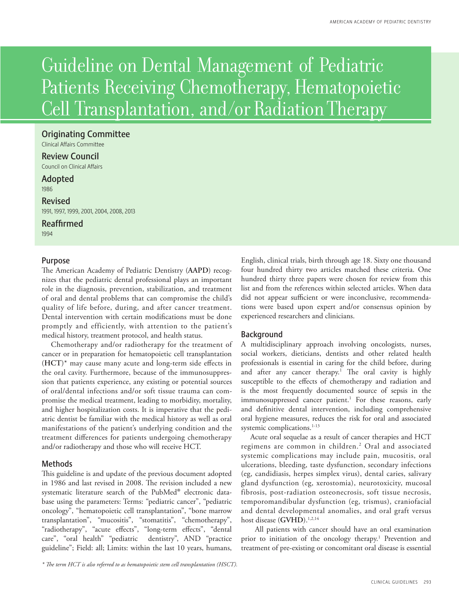# Guideline on Dental Management of Pediatric Patients Receiving Chemotherapy, Hematopoietic Cell Transplantation, and/or Radiation Therapy

# Originating Committee

Clinical Affairs Committee

Review Council

Council on Clinical Affairs

# Adopted

1986

# Revised

1991, 1997, 1999, 2001, 2004, 2008, 2013

# Reaffirmed

1994

# Purpose

The American Academy of Pediatric Dentistry (**AAPD**) recognizes that the pediatric dental professional plays an important role in the diagnosis, prevention, stabilization, and treatment of oral and dental problems that can compromise the child's quality of life before, during, and after cancer treatment. Dental intervention with certain modifications must be done promptly and efficiently, with attention to the patient's medical history, treatment protocol, and health status.

Chemotherapy and/or radiotherapy for the treatment of cancer or in preparation for hematopoietic cell transplantation (**HCT**)\* may cause many acute and long-term side effects in the oral cavity. Furthermore, because of the immunosuppression that patients experience, any existing or potential sources of oral/dental infections and/or soft tissue trauma can compromise the medical treatment, leading to morbidity, mortality, and higher hospitalization costs. It is imperative that the pediatric dentist be familiar with the medical history as well as oral manifestations of the patient's underlying condition and the treatment differences for patients undergoing chemotherapy and/or radiotherapy and those who will receive HCT.

# Methods

This guideline is and update of the previous document adopted in 1986 and last revised in 2008. The revision included a new systematic literature search of the PubMed® electronic database using the parameters: Terms: "pediatric cancer", "pediatric oncology", "hematopoietic cell transplantation", "bone marrow transplantation", "mucositis", "stomatitis", "chemotherapy", "radiotherapy", "acute effects", "long-term effects", "dental care", "oral health" "pediatric dentistry", AND "practice guideline"; Field: all; Limits: within the last 10 years, humans,

English, clinical trials, birth through age 18. Sixty one thousand four hundred thirty two articles matched these criteria. One hundred thirty three papers were chosen for review from this list and from the references within selected articles. When data did not appear sufficient or were inconclusive, recommendations were based upon expert and/or consensus opinion by experienced researchers and clinicians.

# **Background**

A multidisciplinary approach involving oncologists, nurses, social workers, dieticians, dentists and other related health professionals is essential in caring for the child before, during and after any cancer therapy.<sup>1</sup> The oral cavity is highly susceptible to the effects of chemotherapy and radiation and is the most frequently documented source of sepsis in the immunosuppressed cancer patient.<sup>1</sup> For these reasons, early and definitive dental intervention, including comprehensive oral hygiene measures, reduces the risk for oral and associated systemic complications.<sup>1-13</sup>

Acute oral sequelae as a result of cancer therapies and HCT regimens are common in children.2 Oral and associated systemic complications may include pain, mucositis, oral ulcerations, bleeding, taste dysfunction, secondary infections (eg, candidiasis, herpes simplex virus), dental caries, salivary gland dysfunction (eg, xerostomia), neurotoxicity, mucosal fibrosis, post-radiation osteonecrosis, soft tissue necrosis, temporomandibular dysfunction (eg, trismus), craniofacial and dental developmental anomalies, and oral graft versus host disease (GVHD).<sup>1,2,14</sup>

All patients with cancer should have an oral examination prior to initiation of the oncology therapy.<sup>1</sup> Prevention and treatment of pre-existing or concomitant oral disease is essential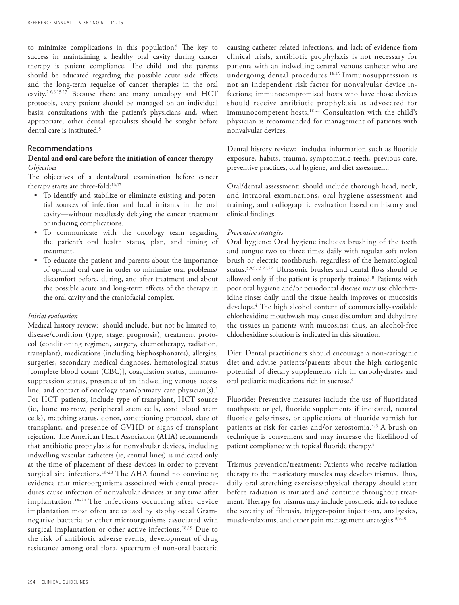to minimize complications in this population.6 The key to success in maintaining a healthy oral cavity during cancer therapy is patient compliance. The child and the parents should be educated regarding the possible acute side effects and the long-term sequelae of cancer therapies in the oral cavity.2-6,8,15-17 Because there are many oncology and HCT protocols, every patient should be managed on an individual basis; consultations with the patient's physicians and, when appropriate, other dental specialists should be sought before dental care is instituted.<sup>5</sup>

## Recommendations

## **Dental and oral care before the initiation of cancer therapy** *Objectives*

The objectives of a dental/oral examination before cancer therapy starts are three-fold:<sup>16,17</sup>

- • To identify and stabilize or eliminate existing and potential sources of infection and local irritants in the oral cavity—without needlessly delaying the cancer treatment or inducing complications.
- • To communicate with the oncology team regarding the patient's oral health status, plan, and timing of treatment.
- • To educate the patient and parents about the importance of optimal oral care in order to minimize oral problems/ discomfort before, during, and after treatment and about the possible acute and long-term effects of the therapy in the oral cavity and the craniofacial complex.

#### *Initial evaluation*

Medical history review: should include, but not be limited to, disease/condition (type, stage, prognosis), treatment protocol (conditioning regimen, surgery, chemotherapy, radiation, transplant), medications (including bisphosphonates), allergies, surgeries, secondary medical diagnoses, hematological status [complete blood count (**CBC**)], coagulation status, immunosuppression status, presence of an indwelling venous access line, and contact of oncology team/primary care physician(s).<sup>1</sup> For HCT patients, include type of transplant, HCT source (ie, bone marrow, peripheral stem cells, cord blood stem cells), matching status, donor, conditioning protocol, date of transplant, and presence of GVHD or signs of transplant rejection. The American Heart Association (**AHA**) recommends that antibiotic prophylaxis for nonvalvular devices, including indwelling vascular catheters (ie, central lines) is indicated only at the time of placement of these devices in order to prevent surgical site infections.<sup>18-20</sup> The AHA found no convincing evidence that microorganisms associated with dental procedures cause infection of nonvalvular devices at any time after implantation.18-20 The infections occurring after device implantation most often are caused by staphyloccal Gramnegative bacteria or other microorganisms associated with surgical implantation or other active infections.<sup>18,19</sup> Due to the risk of antibiotic adverse events, development of drug resistance among oral flora, spectrum of non-oral bacteria causing catheter-related infections, and lack of evidence from clinical trials, antibiotic prophylaxis is not necessary for patients with an indwelling central venous catheter who are undergoing dental procedures.18,19 Immunosuppression is not an independent risk factor for nonvalvular device infections; immunocompromised hosts who have those devices should receive antibiotic prophylaxis as advocated for immunocompetent hosts.18-21 Consultation with the child's physician is recommended for management of patients with nonvalvular devices.

Dental history review: includes information such as fluoride exposure, habits, trauma, symptomatic teeth, previous care, preventive practices, oral hygiene, and diet assessment*.*

Oral/dental assessment: should include thorough head, neck, and intraoral examinations, oral hygiene assessment and training, and radiographic evaluation based on history and clinical findings.

# *Preventive strategies*

Oral hygiene: Oral hygiene includes brushing of the teeth and tongue two to three times daily with regular soft nylon brush or electric toothbrush, regardless of the hematological status.5,8,9,13,21,22 Ultrasonic brushes and dental floss should be allowed only if the patient is properly trained.8 Patients with poor oral hygiene and/or periodontal disease may use chlorhexidine rinses daily until the tissue health improves or mucositis develops.4 The high alcohol content of commercially-available chlorhexidine mouthwash may cause discomfort and dehydrate the tissues in patients with mucositis; thus, an alcohol-free chlorhexidine solution is indicated in this situation.

Diet: Dental practitioners should encourage a non-cariogenic diet and advise patients/parents about the high cariogenic potential of dietary supplements rich in carbohydrates and oral pediatric medications rich in sucrose.<sup>4</sup>

Fluoride: Preventive measures include the use of fluoridated toothpaste or gel, fluoride supplements if indicated, neutral fluoride gels/rinses, or applications of fluoride varnish for patients at risk for caries and/or xerostomia.<sup>4,8</sup> A brush-on technique is convenient and may increase the likelihood of patient compliance with topical fluoride therapy.8

Trismus prevention/treatment: Patients who receive radiation therapy to the masticatory muscles may develop trismus. Thus, daily oral stretching exercises/physical therapy should start before radiation is initiated and continue throughout treatment. Therapy for trismus may include prosthetic aids to reduce the severity of fibrosis, trigger-point injections, analgesics, muscle-relaxants, and other pain management strategies.<sup>3,5,10</sup>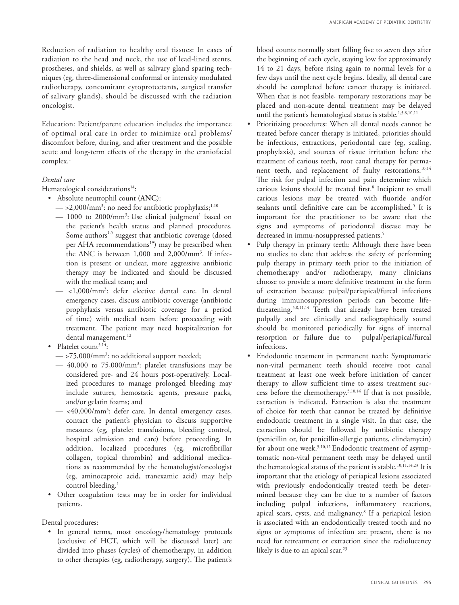Reduction of radiation to healthy oral tissues: In cases of radiation to the head and neck, the use of lead-lined stents, prostheses, and shields, as well as salivary gland sparing techniques (eg, three-dimensional conformal or intensity modulated radiotherapy, concomitant cytoprotectants, surgical transfer of salivary glands), should be discussed with the radiation oncologist.

Education: Patient/parent education includes the importance of optimal oral care in order to minimize oral problems/ discomfort before, during, and after treatment and the possible acute and long-term effects of the therapy in the craniofacial complex.1

# *Dental care*

Hematological considerations<sup>14</sup>:

- • Absolute neutrophil count (**ANC**):
	- $-$  >2,000/mm<sup>3</sup>: no need for antibiotic prophylaxis; $^{1,10}$
	- $-$  1000 to 2000/mm<sup>3</sup>: Use clinical judgment<sup>1</sup> based on the patient's health status and planned procedures. Some authors<sup>1,5</sup> suggest that antibiotic coverage (dosed per AHA recommendations<sup>19</sup>) may be prescribed when the ANC is between 1,000 and 2,000/mm3 . If infection is present or unclear, more aggressive antibiotic therapy may be indicated and should be discussed with the medical team; and
	- <1,000/mm3 : defer elective dental care. In dental emergency cases, discuss antibiotic coverage (antibiotic prophylaxis versus antibiotic coverage for a period of time) with medical team before proceeding with treatment. The patient may need hospitalization for dental management.<sup>12</sup>
- Platelet count<sup>5,14</sup>:
	- $\sim$  >75,000/mm<sup>3</sup>: no additional support needed;
	- 40,000 to 75,000/mm3 : platelet transfusions may be considered pre- and 24 hours post-operatively. Localized procedures to manage prolonged bleeding may include sutures, hemostatic agents, pressure packs, and/or gelatin foams; and
	- <40,000/mm3 : defer care. In dental emergency cases, contact the patient's physician to discuss supportive measures (eg, platelet transfusions, bleeding control, hospital admission and care) before proceeding. In addition, localized procedures (eg, microfibrillar collagen, topical thrombin) and additional medications as recommended by the hematologist/oncologist (eg, aminocaproic acid, tranexamic acid) may help control bleeding.<sup>1</sup>
- • Other coagulation tests may be in order for individual patients.

Dental procedures:

• In general terms, most oncology/hematology protocols (exclusive of HCT, which will be discussed later) are divided into phases (cycles) of chemotherapy, in addition to other therapies (eg, radiotherapy, surgery). The patient's

blood counts normally start falling five to seven days after the beginning of each cycle, staying low for approximately 14 to 21 days, before rising again to normal levels for a few days until the next cycle begins. Ideally, all dental care should be completed before cancer therapy is initiated. When that is not feasible, temporary restorations may be placed and non-acute dental treatment may be delayed until the patient's hematological status is stable.<sup>1,5,8,10,11</sup>

- • Prioritizing procedures: When all dental needs cannot be treated before cancer therapy is initiated, priorities should be infections, extractions, periodontal care (eg, scaling, prophylaxis), and sources of tissue irritation before the treatment of carious teeth, root canal therapy for permanent teeth, and replacement of faulty restorations.<sup>10,14</sup> The risk for pulpal infection and pain determine which carious lesions should be treated first.<sup>8</sup> Incipient to small carious lesions may be treated with fluoride and/or sealants until definitive care can be accomplished.<sup>5</sup> It is important for the practitioner to be aware that the signs and symptoms of periodontal disease may be decreased in immu-nosuppressed patients.<sup>5</sup>
- • Pulp therapy in primary teeth: Although there have been no studies to date that address the safety of performing pulp therapy in primary teeth prior to the initiation of chemotherapy and/or radiotherapy, many clinicians choose to provide a more definitive treatment in the form of extraction because pulpal/periapical/furcal infections during immunosuppression periods can become lifethreatening.5,8,11,14 Teeth that already have been treated pulpally and are clinically and radiographically sound should be monitored periodically for signs of internal resorption or failure due to pulpal/periapical/furcal infections.
- • Endodontic treatment in permanent teeth: Symptomatic non-vital permanent teeth should receive root canal treatment at least one week before initiation of cancer therapy to allow sufficient time to assess treatment success before the chemotherapy.5,10,14 If that is not possible, extraction is indicated. Extraction is also the treatment of choice for teeth that cannot be treated by definitive endodontic treatment in a single visit. In that case, the extraction should be followed by antibiotic therapy (penicillin or, for penicillin-allergic patients, clindamycin) for about one week.<sup>5,10,12</sup> Endodontic treatment of asymptomatic non-vital permanent teeth may be delayed until the hematological status of the patient is stable.<sup>10,11,14,23</sup> It is important that the etiology of periapical lesions associated with previously endodontically treated teeth be determined because they can be due to a number of factors including pulpal infections, inflammatory reactions, apical scars, cysts, and malignancy.8 If a periapical lesion is associated with an endodontically treated tooth and no signs or symptoms of infection are present, there is no need for retreatment or extraction since the radiolucency likely is due to an apical scar.<sup>23</sup>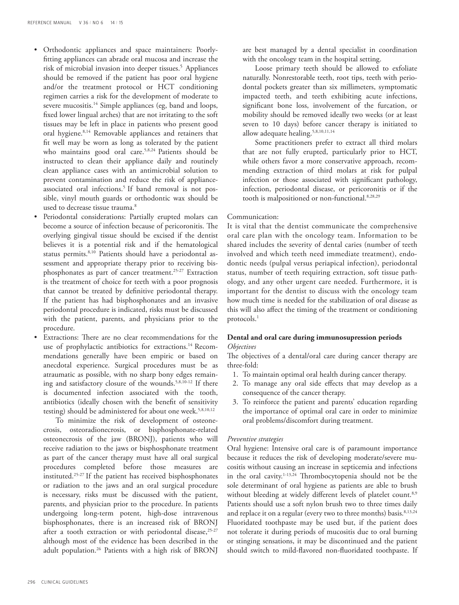- Orthodontic appliances and space maintainers: Poorlyfitting appliances can abrade oral mucosa and increase the risk of microbial invasion into deeper tissues.<sup>5</sup> Appliances should be removed if the patient has poor oral hygiene and/or the treatment protocol or HCT conditioning regimen carries a risk for the development of moderate to severe mucositis.<sup>14</sup> Simple appliances (eg, band and loops, fixed lower lingual arches) that are not irritating to the soft tissues may be left in place in patients who present good oral hygiene.8,14 Removable appliances and retainers that fit well may be worn as long as tolerated by the patient who maintains good oral care.<sup>5,8,24</sup> Patients should be instructed to clean their appliance daily and routinely clean appliance cases with an antimicrobial solution to prevent contamination and reduce the risk of applianceassociated oral infections.<sup>5</sup> If band removal is not possible, vinyl mouth guards or orthodontic wax should be used to decrease tissue trauma.<sup>8</sup>
- Periodontal considerations: Partially erupted molars can become a source of infection because of pericoronitis. The overlying gingival tissue should be excised if the dentist believes it is a potential risk and if the hematological status permits.<sup>8,10</sup> Patients should have a periodontal assessment and appropriate therapy prior to receiving bisphosphonates as part of cancer treatment.<sup>25-27</sup> Extraction is the treatment of choice for teeth with a poor prognosis that cannot be treated by definitive periodontal therapy. If the patient has had bisphosphonates and an invasive periodontal procedure is indicated, risks must be discussed with the patient, parents, and physicians prior to the procedure.
- Extractions: There are no clear recommendations for the use of prophylactic antibiotics for extractions.<sup>14</sup> Recommendations generally have been empiric or based on anecdotal experience. Surgical procedures must be as atraumatic as possible, with no sharp bony edges remaining and satisfactory closure of the wounds.<sup>5,8,10-12</sup> If there is documented infection associated with the tooth, antibiotics (ideally chosen with the benefit of sensitivity testing) should be administered for about one week.<sup>5,8,10,12</sup>

 To minimize the risk of development of osteonecrosis, osteoradionecrosis, or bisphosphonate-related osteonecrosis of the jaw (BRONJ), patients who will receive radiation to the jaws or bisphosphonate treatment as part of the cancer therapy must have all oral surgical procedures completed before those measures are instituted.25-27 If the patient has received bisphosphonates or radiation to the jaws and an oral surgical procedure is necessary, risks must be discussed with the patient, parents, and physician prior to the procedure. In patients undergoing long-term potent, high-dose intravenous bisphosphonates, there is an increased risk of BRONJ after a tooth extraction or with periodontal disease,<sup>25-27</sup> although most of the evidence has been described in the adult population.26 Patients with a high risk of BRONJ

are best managed by a dental specialist in coordination with the oncology team in the hospital setting.

 Loose primary teeth should be allowed to exfoliate naturally. Nonrestorable teeth, root tips, teeth with periodontal pockets greater than six millimeters, symptomatic impacted teeth, and teeth exhibiting acute infections, significant bone loss, involvement of the furcation, or mobility should be removed ideally two weeks (or at least seven to 10 days) before cancer therapy is initiated to allow adequate healing.<sup>5,8,10,11,14</sup>

 Some practitioners prefer to extract all third molars that are not fully erupted, particularly prior to HCT, while others favor a more conservative approach, recommending extraction of third molars at risk for pulpal infection or those associated with significant pathology, infection, periodontal disease, or pericoronitis or if the tooth is malpositioned or non-functional.8,28,29

#### Communication:

It is vital that the dentist communicate the comprehensive oral care plan with the oncology team. Information to be shared includes the severity of dental caries (number of teeth involved and which teeth need immediate treatment), endodontic needs (pulpal versus periapical infection), periodontal status, number of teeth requiring extraction, soft tissue pathology, and any other urgent care needed. Furthermore, it is important for the dentist to discuss with the oncology team how much time is needed for the stabilization of oral disease as this will also affect the timing of the treatment or conditioning protocols.<sup>1</sup>

# **Dental and oral care during immunosupression periods** *Objectives*

The objectives of a dental/oral care during cancer therapy are three-fold:

- 1. To maintain optimal oral health during cancer therapy.
- 2. To manage any oral side effects that may develop as a consequence of the cancer therapy.
- 3. To reinforce the patient and parents' education regarding the importance of optimal oral care in order to minimize oral problems/discomfort during treatment.

#### *Preventive strategies*

Oral hygiene: Intensive oral care is of paramount importance because it reduces the risk of developing moderate/severe mucositis without causing an increase in septicemia and infections in the oral cavity.1-13,24 Thrombocytopenia should not be the sole determinant of oral hygiene as patients are able to brush without bleeding at widely different levels of platelet count.<sup>8,9</sup> Patients should use a soft nylon brush two to three times daily and replace it on a regular (every two to three months) basis.<sup>8,13,24</sup> Fluoridated toothpaste may be used but, if the patient does not tolerate it during periods of mucositis due to oral burning or stinging sensations, it may be discontinued and the patient should switch to mild-flavored non-fluoridated toothpaste. If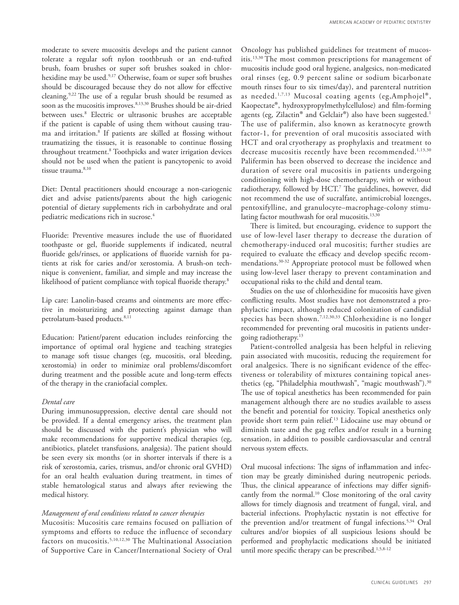moderate to severe mucositis develops and the patient cannot tolerate a regular soft nylon toothbrush or an end-tufted brush, foam brushes or super soft brushes soaked in chlorhexidine may be used.9,17 Otherwise, foam or super soft brushes should be discouraged because they do not allow for effective cleaning.9,22 The use of a regular brush should be resumed as soon as the mucositis improves.<sup>8,13,30</sup> Brushes should be air-dried between uses.8 Electric or ultrasonic brushes are acceptable if the patient is capable of using them without causing trauma and irritation.8 If patients are skilled at flossing without traumatizing the tissues, it is reasonable to continue flossing throughout treatment.8 Toothpicks and water irrigation devices should not be used when the patient is pancytopenic to avoid tissue trauma.<sup>8,10</sup>

Diet: Dental practitioners should encourage a non-cariogenic diet and advise patients/parents about the high cariogenic potential of dietary supplements rich in carbohydrate and oral pediatric medications rich in sucrose.<sup>4</sup>

Fluoride: Preventive measures include the use of fluoridated toothpaste or gel, fluoride supplements if indicated, neutral fluoride gels/rinses, or applications of fluoride varnish for patients at risk for caries and/or xerostomia. A brush-on technique is convenient, familiar, and simple and may increase the likelihood of patient compliance with topical fluoride therapy.<sup>8</sup>

Lip care: Lanolin-based creams and ointments are more effective in moisturizing and protecting against damage than petrolatum-based products.<sup>8,11</sup>

Education: Patient/parent education includes reinforcing the importance of optimal oral hygiene and teaching strategies to manage soft tissue changes (eg, mucositis, oral bleeding, xerostomia) in order to minimize oral problems/discomfort during treatment and the possible acute and long-term effects of the therapy in the craniofacial complex.

## *Dental care*

During immunosuppression, elective dental care should not be provided. If a dental emergency arises, the treatment plan should be discussed with the patient's physician who will make recommendations for supportive medical therapies (eg, antibiotics, platelet transfusions, analgesia). The patient should be seen every six months (or in shorter intervals if there is a risk of xerostomia, caries, trismus, and/or chronic oral GVHD) for an oral health evaluation during treatment, in times of stable hematological status and always after reviewing the medical history.

## *Management of oral conditions related to cancer therapies*

Mucositis: Mucositis care remains focused on palliation of symptoms and efforts to reduce the influence of secondary factors on mucositis.<sup>5,10,12,30</sup> The Multinational Association of Supportive Care in Cancer/International Society of Oral

Oncology has published guidelines for treatment of mucositis.13,30 The most common prescriptions for management of mucositis include good oral hygiene, analgesics, non-medicated oral rinses (eg, 0.9 percent saline or sodium bicarbonate mouth rinses four to six times/day), and parenteral nutrition as needed.<sup>1,7,13</sup> Mucosal coating agents (eg, Amphojel<sup>®</sup>, Kaopectate®, hydroxypropylmethylcellulose) and film-forming agents (eg, Zilactin<sup>®</sup> and Gelclair<sup>®</sup>) also have been suggested.<sup>1</sup> The use of palifermin, also known as keratnocyte growth factor-1, for prevention of oral mucositis associated with HCT and oral cryotherapy as prophylaxis and treatment to decrease mucositis recently have been recommended.<sup>1,13,30</sup> Palifermin has been observed to decrease the incidence and duration of severe oral mucositis in patients undergoing conditioning with high-dose chemotherapy, with or without radiotherapy, followed by HCT.7 The guidelines, however, did not recommend the use of sucralfate, antimicrobial lozenges, pentoxifylline, and granulocyte–macrophage-colony stimulating factor mouthwash for oral mucositis.<sup>13,30</sup>

There is limited, but encouraging, evidence to support the use of low-level laser therapy to decrease the duration of chemotherapy-induced oral mucositis; further studies are required to evaluate the efficacy and develop specific recommendations.30-32 Appropriate protocol must be followed when using low-level laser therapy to prevent contamination and occupational risks to the child and dental team.

Studies on the use of chlorhexidine for mucositis have given conflicting results. Most studies have not demonstrated a prophylactic impact, although reduced colonization of candidial species has been shown.<sup>7,12,30,33</sup> Chlorhexidine is no longer recommended for preventing oral mucositis in patients undergoing radiotherapy.13

Patient-controlled analgesia has been helpful in relieving pain associated with mucositis, reducing the requirement for oral analgesics. There is no significant evidence of the effectiveness or tolerability of mixtures containing topical anesthetics (eg, "Philadelphia mouthwash", "magic mouthwash").<sup>30</sup> The use of topical anesthetics has been recommended for pain management although there are no studies available to assess the benefit and potential for toxicity. Topical anesthetics only provide short term pain relief.13 Lidocaine use may obtund or diminish taste and the gag reflex and/or result in a burning sensation, in addition to possible cardiovsascular and central nervous system effects.

Oral mucosal infections: The signs of inflammation and infection may be greatly diminished during neutropenic periods. Thus, the clinical appearance of infections may differ significantly from the normal.<sup>10</sup> Close monitoring of the oral cavity allows for timely diagnosis and treatment of fungal, viral, and bacterial infections. Prophylactic nystatin is not effective for the prevention and/or treatment of fungal infections.<sup>5,34</sup> Oral cultures and/or biopsies of all suspicious lesions should be performed and prophylactic medications should be initiated until more specific therapy can be prescribed.<sup>1,5,8-12</sup>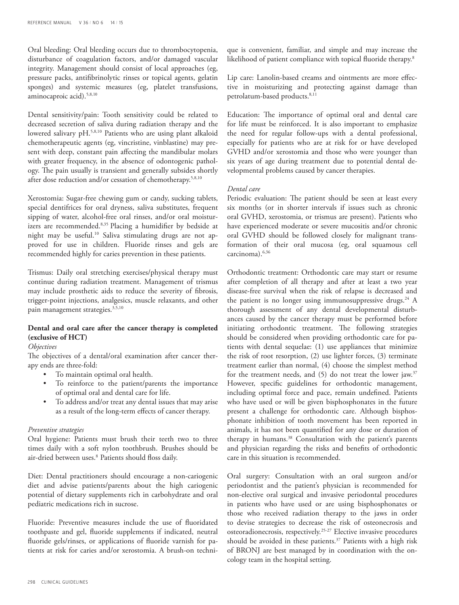Oral bleeding: Oral bleeding occurs due to thrombocytopenia, disturbance of coagulation factors, and/or damaged vascular integrity. Management should consist of local approaches (eg, pressure packs, antifibrinolytic rinses or topical agents, gelatin sponges) and systemic measures (eg, platelet transfusions, aminocaproic acid).<sup>5,8,10</sup>

Dental sensitivity/pain: Tooth sensitivity could be related to decreased secretion of saliva during radiation therapy and the lowered salivary pH.5,8,10 Patients who are using plant alkaloid chemotherapeutic agents (eg, vincristine, vinblastine) may present with deep, constant pain affecting the mandibular molars with greater frequency, in the absence of odontogenic pathology. The pain usually is transient and generally subsides shortly after dose reduction and/or cessation of chemotherapy.5,8,10

Xerostomia: Sugar-free chewing gum or candy, sucking tablets, special dentifrices for oral dryness, saliva substitutes, frequent sipping of water, alcohol-free oral rinses, and/or oral moisturizers are recommended.8,35 Placing a humidifier by bedside at night may be useful.<sup>10</sup> Saliva stimulating drugs are not approved for use in children. Fluoride rinses and gels are recommended highly for caries prevention in these patients.

Trismus: Daily oral stretching exercises/physical therapy must continue during radiation treatment. Management of trismus may include prosthetic aids to reduce the severity of fibrosis, trigger-point injections, analgesics, muscle relaxants, and other pain management strategies.<sup>3,5,10</sup>

# **Dental and oral care after the cancer therapy is completed (exclusive of HCT)**

## *Objectives*

The objectives of a dental/oral examination after cancer therapy ends are three-fold:

- • To maintain optimal oral health.
- To reinforce to the patient/parents the importance of optimal oral and dental care for life.
- To address and/or treat any dental issues that may arise as a result of the long-term effects of cancer therapy.

#### *Preventive strategies*

Oral hygiene: Patients must brush their teeth two to three times daily with a soft nylon toothbrush. Brushes should be air-dried between uses.<sup>8</sup> Patients should floss daily.

Diet: Dental practitioners should encourage a non-cariogenic diet and advise patients/parents about the high cariogenic potential of dietary supplements rich in carbohydrate and oral pediatric medications rich in sucrose.

Fluoride: Preventive measures include the use of fluoridated toothpaste and gel, fluoride supplements if indicated, neutral fluoride gels/rinses, or applications of fluoride varnish for patients at risk for caries and/or xerostomia. A brush-on technique is convenient, familiar, and simple and may increase the likelihood of patient compliance with topical fluoride therapy.8

Lip care: Lanolin-based creams and ointments are more effective in moisturizing and protecting against damage than petrolatum-based products.<sup>8,11</sup>

Education: The importance of optimal oral and dental care for life must be reinforced. It is also important to emphasize the need for regular follow-ups with a dental professional, especially for patients who are at risk for or have developed GVHD and/or xerostomia and those who were younger than six years of age during treatment due to potential dental developmental problems caused by cancer therapies.

#### *Dental care*

Periodic evaluation: The patient should be seen at least every six months (or in shorter intervals if issues such as chronic oral GVHD, xerostomia, or trismus are present). Patients who have experienced moderate or severe mucositis and/or chronic oral GVHD should be followed closely for malignant transformation of their oral mucosa (eg, oral squamous cell carcinoma).6,36

Orthodontic treatment: Orthodontic care may start or resume after completion of all therapy and after at least a two year disease-free survival when the risk of relapse is decreased and the patient is no longer using immunosuppressive drugs.<sup>24</sup> A thorough assessment of any dental developmental disturbances caused by the cancer therapy must be performed before initiating orthodontic treatment. The following strategies should be considered when providing orthodontic care for patients with dental sequelae: (1) use appliances that minimize the risk of root resorption, (2) use lighter forces, (3) terminate treatment earlier than normal, (4) choose the simplest method for the treatment needs, and (5) do not treat the lower jaw.<sup>37</sup> However, specific guidelines for orthodontic management, including optimal force and pace, remain undefined. Patients who have used or will be given bisphosphonates in the future present a challenge for orthodontic care. Although bisphosphonate inhibition of tooth movement has been reported in animals, it has not been quantified for any dose or duration of therapy in humans.38 Consultation with the patient's parents and physician regarding the risks and benefits of orthodontic care in this situation is recommended.

Oral surgery: Consultation with an oral surgeon and/or periodontist and the patient's physician is recommended for non-elective oral surgical and invasive periodontal procedures in patients who have used or are using bisphosphonates or those who received radiation therapy to the jaws in order to devise strategies to decrease the risk of osteonecrosis and osteoradionecrosis, respectively.25-27 Elective invasive procedures should be avoided in these patients.<sup>37</sup> Patients with a high risk of BRONJ are best managed by in coordination with the oncology team in the hospital setting.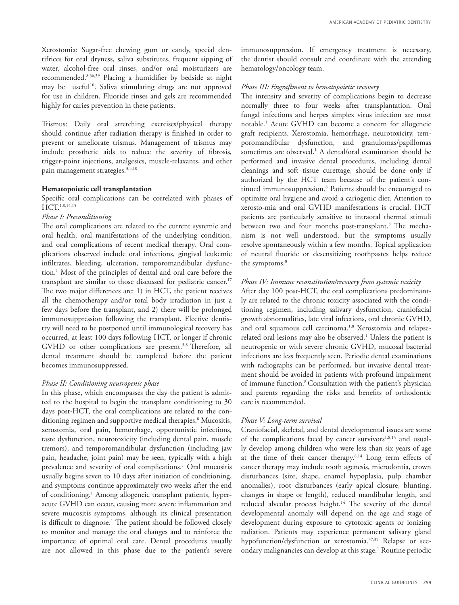Xerostomia: Sugar-free chewing gum or candy, special dentifrices for oral dryness, saliva substitutes, frequent sipping of water, alcohol-free oral rinses, and/or oral moisturizers are recommended.8,36,39 Placing a humidifier by bedside at night may be useful<sup>10</sup>. Saliva stimulating drugs are not approved for use in children. Fluoride rinses and gels are recommended highly for caries prevention in these patients.

Trismus: Daily oral stretching exercises/physical therapy should continue after radiation therapy is finished in order to prevent or ameliorate trismus. Management of trismus may include prosthetic aids to reduce the severity of fibrosis, trigger-point injections, analgesics, muscle-relaxants, and other pain management strategies.<sup>3,5,10</sup>

#### **Hematopoietic cell transplantation**

Specific oral complications can be correlated with phases of HCT.1,8,14,15

#### *Phase I: Preconditioning*

The oral complications are related to the current systemic and oral health, oral manifestations of the underlying condition, and oral complications of recent medical therapy. Oral complications observed include oral infections, gingival leukemic infiltrates, bleeding, ulceration, temporomandibular dysfunction.1 Most of the principles of dental and oral care before the transplant are similar to those discussed for pediatric cancer.<sup>17</sup> The two major differences are: 1) in HCT, the patient receives all the chemotherapy and/or total body irradiation in just a few days before the transplant, and 2) there will be prolonged immunosuppression following the transplant. Elective dentistry will need to be postponed until immunological recovery has occurred, at least 100 days following HCT, or longer if chronic GVHD or other complications are present.<sup>5,8</sup> Therefore, all dental treatment should be completed before the patient becomes immunosuppressed.

## *Phase II: Conditioning neutropenic phase*

In this phase, which encompasses the day the patient is admitted to the hospital to begin the transplant conditioning to 30 days post-HCT, the oral complications are related to the conditioning regimen and supportive medical therapies.<sup>8</sup> Mucositis, xerostomia, oral pain, hemorrhage, opportunistic infections, taste dysfunction, neurotoxicity (including dental pain, muscle tremors), and temporomandibular dysfunction (including jaw pain, headache, joint pain) may be seen, typically with a high prevalence and severity of oral complications.<sup>1</sup> Oral mucositis usually begins seven to 10 days after initiation of conditioning, and symptoms continue approximately two weeks after the end of conditioning.1 Among allogeneic transplant patients, hyperacute GVHD can occur, causing more severe inflammation and severe mucositis symptoms, although its clinical presentation is difficult to diagnose.1 The patient should be followed closely to monitor and manage the oral changes and to reinforce the importance of optimal oral care. Dental procedures usually are not allowed in this phase due to the patient's severe

immunosuppression. If emergency treatment is necessary, the dentist should consult and coordinate with the attending hematology/oncology team.

## *Phase III: Engraftment to hematopoietic recovery*

The intensity and severity of complications begin to decrease normally three to four weeks after transplantation. Oral fungal infections and herpes simplex virus infection are most notable.1 Acute GVHD can become a concern for allogeneic graft recipients. Xerostomia, hemorrhage, neurotoxicity, temporomandibular dysfunction, and granulomas/papillomas sometimes are observed.1 A dental/oral examination should be performed and invasive dental procedures, including dental cleanings and soft tissue curettage, should be done only if authorized by the HCT team because of the patient's continued immunosuppression.8 Patients should be encouraged to optimize oral hygiene and avoid a cariogenic diet. Attention to xerosto-mia and oral GVHD manifestations is crucial. HCT patients are particularly sensitive to intraoral thermal stimuli between two and four months post-transplant.8 The mechanism is not well understood, but the symptoms usually resolve spontaneously within a few months. Topical application of neutral fluoride or desensitizing toothpastes helps reduce the symptoms.<sup>8</sup>

#### *Phase IV: Immune reconstitution/recovery from systemic toxicity*

After day 100 post-HCT, the oral complications predominantly are related to the chronic toxicity associated with the conditioning regimen, including salivary dysfunction, craniofacial growth abnormalities, late viral infections, oral chronic GVHD, and oral squamous cell carcinoma.<sup>1,8</sup> Xerostomia and relapserelated oral lesions may also be observed.<sup>1</sup> Unless the patient is neutropenic or with severe chronic GVHD, mucosal bacterial infections are less frequently seen. Periodic dental examinations with radiographs can be performed, but invasive dental treatment should be avoided in patients with profound impairment of immune function.<sup>8</sup> Consultation with the patient's physician and parents regarding the risks and benefits of orthodontic care is recommended.

#### *Phase V: Long-term survival*

Craniofacial, skeletal, and dental developmental issues are some of the complications faced by cancer survivors $1,8,14$  and usually develop among children who were less than six years of age at the time of their cancer therapy.8,14 Long term effects of cancer therapy may include tooth agenesis, microdontia, crown disturbances (size, shape, enamel hypoplasia, pulp chamber anomalies), root disturbances (early apical closure, blunting, changes in shape or length), reduced mandibular length, and reduced alveolar process height.<sup>14</sup> The severity of the dental developmental anomaly will depend on the age and stage of development during exposure to cytotoxic agents or ionizing radiation. Patients may experience permanent salivary gland hypofunction/dysfunction or xerostomia.<sup>37,39</sup> Relapse or secondary malignancies can develop at this stage.<sup>1</sup> Routine periodic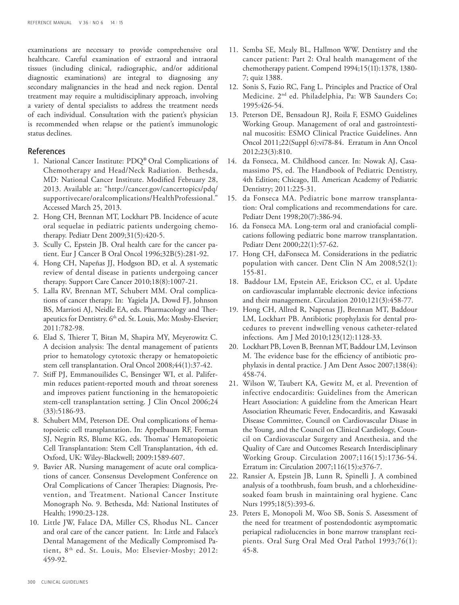examinations are necessary to provide comprehensive oral healthcare. Careful examination of extraoral and intraoral tissues (including clinical, radiographic, and/or additional diagnostic examinations) are integral to diagnosing any secondary malignancies in the head and neck region. Dental treatment may require a multidisciplinary approach, involving a variety of dental specialists to address the treatment needs of each individual. Consultation with the patient's physician is recommended when relapse or the patient's immunologic status declines.

## References

- 1. National Cancer Institute: PDQ® Oral Complications of Chemotherapy and Head/Neck Radiation. Bethesda, MD: National Cancer Institute. Modified February 28, 2013. Available at: "http://cancer.gov/cancertopics/pdq/ supportivecare/oralcomplications/HealthProfessional." Accessed March 25, 2013.
- 2. Hong CH, Brennan MT, Lockhart PB. Incidence of acute oral sequelae in pediatric patients undergoing chemotherapy. Pediatr Dent 2009;31(5):420-5.
- 3. Scully C, Epstein JB. Oral health care for the cancer patient. Eur J Cancer B Oral Oncol 1996;32B(5):281-92.
- 4. Hong CH, Napeñas JJ, Hodgson BD, et al. A systematic review of dental disease in patients undergoing cancer therapy. Support Care Cancer 2010;18(8):1007-21.
- 5. Lalla RV, Brennan MT, Schubert MM. Oral complications of cancer therapy. In: Yagiela JA, Dowd FJ, Johnson BS, Marrioti AJ, Neidle EA, eds. Pharmacology and Therapeutics for Dentistry. 6<sup>th</sup> ed. St. Louis, Mo: Mosby-Elsevier; 2011:782-98.
- 6. Elad S, Thierer T, Bitan M, Shapira MY, Meyerowitz C. A decision analysis: The dental management of patients prior to hematology cytotoxic therapy or hematopoietic stem cell transplantation. Oral Oncol 2008;44(1):37-42.
- 7. Stiff PJ, Emmanouilides C, Bensinger WI, et al. Palifermin reduces patient-reported mouth and throat soreness and improves patient functioning in the hematopoietic stem-cell transplantation setting. J Clin Oncol 2006;24 (33):5186-93.
- 8. Schubert MM, Peterson DE. Oral complications of hematopoietic cell transplantation. In: Appelbaum RF, Forman SJ, Negrin RS, Blume KG, eds. Thomas' Hematopoietic Cell Transplantation: Stem Cell Transplantation, 4th ed. Oxford, UK: Wiley-Blackwell; 2009:1589-607.
- 9. Bavier AR. Nursing management of acute oral complications of cancer. Consensus Development Conference on Oral Complications of Cancer Therapies: Diagnosis, Prevention, and Treatment. National Cancer Institute Monograph No. 9. Bethesda, Md: National Institutes of Health; 1990:23-128.
- 10. Little JW, Falace DA, Miller CS, Rhodus NL. Cancer and oral care of the cancer patient. In: Little and Falace's Dental Management of the Medically Compromised Patient, 8<sup>th</sup> ed. St. Louis, Mo: Elsevier-Mosby; 2012: 459-92.
- 11. Semba SE, Mealy BL, Hallmon WW. Dentistry and the cancer patient: Part 2: Oral health management of the chemotherapy patient. Compend 1994;15(11):1378, 1380- 7; quiz 1388.
- 12. Sonis S, Fazio RC, Fang L. Principles and Practice of Oral Medicine. 2nd ed. Philadelphia, Pa: WB Saunders Co; 1995:426-54.
- 13. Peterson DE, Bensadoun RJ, Roila F, ESMO Guidelines Working Group. Management of oral and gastrointestinal mucositis: ESMO Clinical Practice Guidelines. Ann Oncol 2011;22(Suppl 6):vi78-84. Erratum in Ann Oncol 2012;23(3):810.
- 14. da Fonseca, M. Childhood cancer. In: Nowak AJ, Casamassimo PS, ed. The Handbook of Pediatric Dentistry, 4th Edition; Chicago, Ill. American Academy of Pediatric Dentistry; 2011:225-31.
- 15. da Fonseca MA. Pediatric bone marrow transplantation: Oral complications and recommendations for care. Pediatr Dent 1998;20(7):386-94.
- 16. da Fonseca MA. Long-term oral and craniofacial complications following pediatric bone marrow transplantation. Pediatr Dent 2000;22(1):57-62.
- 17. Hong CH, daFonseca M. Considerations in the pediatric population with cancer. Dent Clin N Am 2008;52(1): 155-81.
- 18. Baddour LM, Epstein AE, Erickson CC, et al. Update on cardiovascular implantable electronic device infections and their management. Circulation 2010;121(3):458-77.
- 19. Hong CH, Allred R, Napenas JJ, Brennan MT, Baddour LM, Lockhart PB. Antibiotic prophylaxis for dental procedures to prevent indwelling venous catheter-related infections. Am J Med 2010;123(12):1128-33.
- 20. Lockhart PB, Loven B, Brennan MT, Baddour LM, Levinson M. The evidence base for the efficiency of antibiotic prophylaxis in dental practice. J Am Dent Assoc 2007;138(4): 458-74.
- 21. Wilson W, Taubert KA, Gewitz M, et al. Prevention of infective endocarditis: Guidelines from the American Heart Association: A guideline from the American Heart Association Rheumatic Fever, Endocarditis, and Kawasaki Disease Committee, Council on Cardiovascular Disase in the Young, and the Council on Clinical Cardiology, Council on Cardiovascular Surgery and Anesthesia, and the Quality of Care and Outcomes Research Interdisciplinary Working Group. Circulation 2007;116(15):1736-54. Erratum in: Circulation 2007;116(15):e376-7.
- 22. Ransier A, Epstein JB, Lunn R, Spinelli J. A combined analysis of a toothbrush, foam brush, and a chlorhexidinesoaked foam brush in maintaining oral hygiene. Canc Nurs 1995;18(5):393-6.
- 23. Peters E, Monopoli M, Woo SB, Sonis S. Assessment of the need for treatment of postendodontic asymptomatic periapical radiolucencies in bone marrow transplant recipients. Oral Surg Oral Med Oral Pathol 1993;76(1): 45-8.